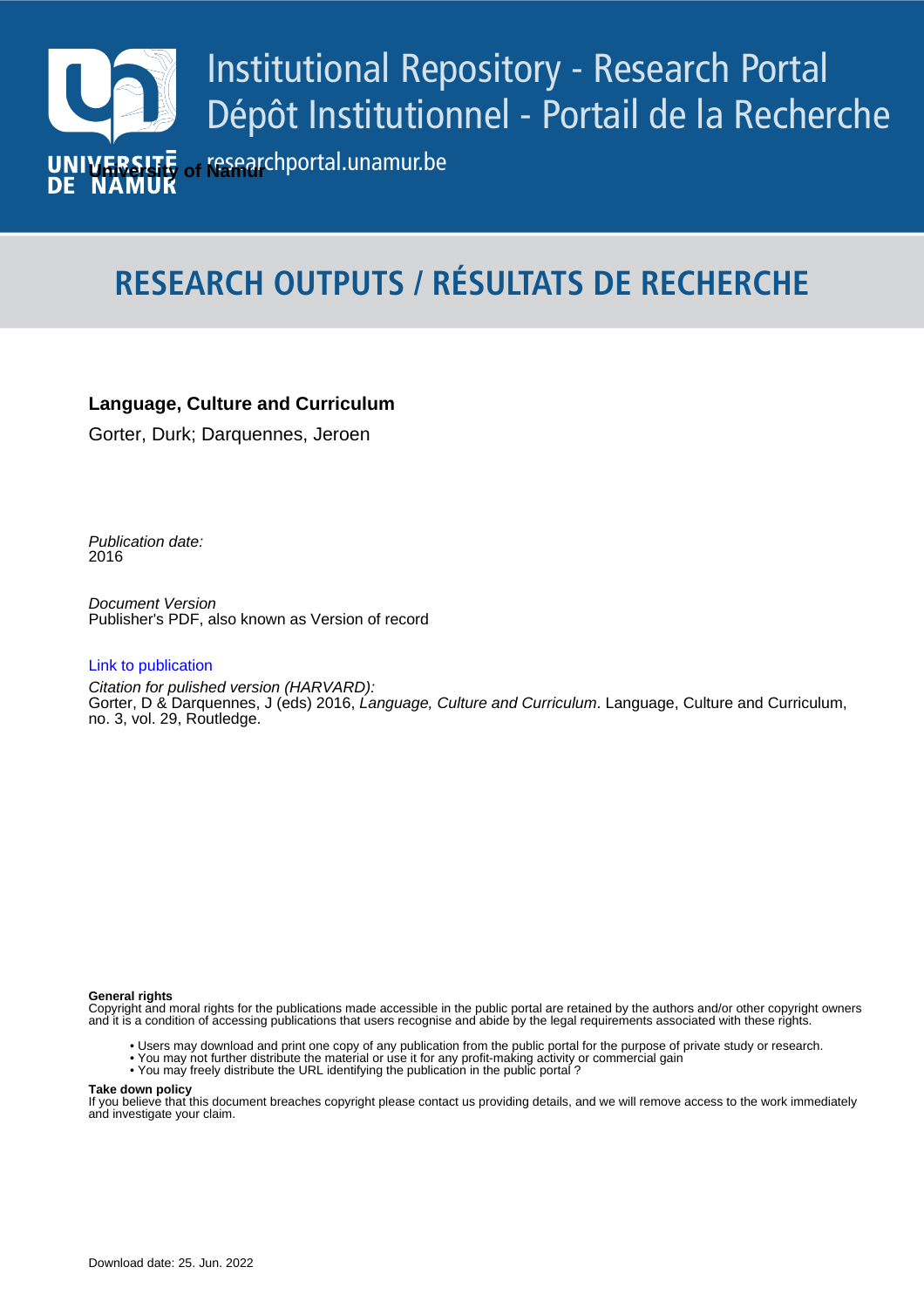

# **RESEARCH OUTPUTS / RÉSULTATS DE RECHERCHE**

# **Language, Culture and Curriculum**

Gorter, Durk; Darquennes, Jeroen

Publication date:<br><sup>2016</sup> 2016

> Document Version Publisher's PDF, also known as Version of record

## [Link to publication](https://researchportal.unamur.be/en/publications/d30386f4-7916-48dd-8adb-5af36364978d)

**Publication date - Date de publication :** Citation for pulished version (HARVARD): Gorter, D & Darquennes, J (eds) 2016, Language, Culture and Curriculum. Language, Culture and Curriculum, no. 3, vol. 29, Routledge.

### **General rights**

Copyright and moral rights for the publications made accessible in the public portal are retained by the authors and/or other copyright owners and it is a condition of accessing publications that users recognise and abide by the legal requirements associated with these rights.

- Users may download and print one copy of any publication from the public portal for the purpose of private study or research.
- You may not further distribute the material or use it for any profit-making activity or commercial gain
- You may freely distribute the URL identifying the publication in the public portal ?

#### **Take down policy**

If you believe that this document breaches copyright please contact us providing details, and we will remove access to the work immediately and investigate your claim.